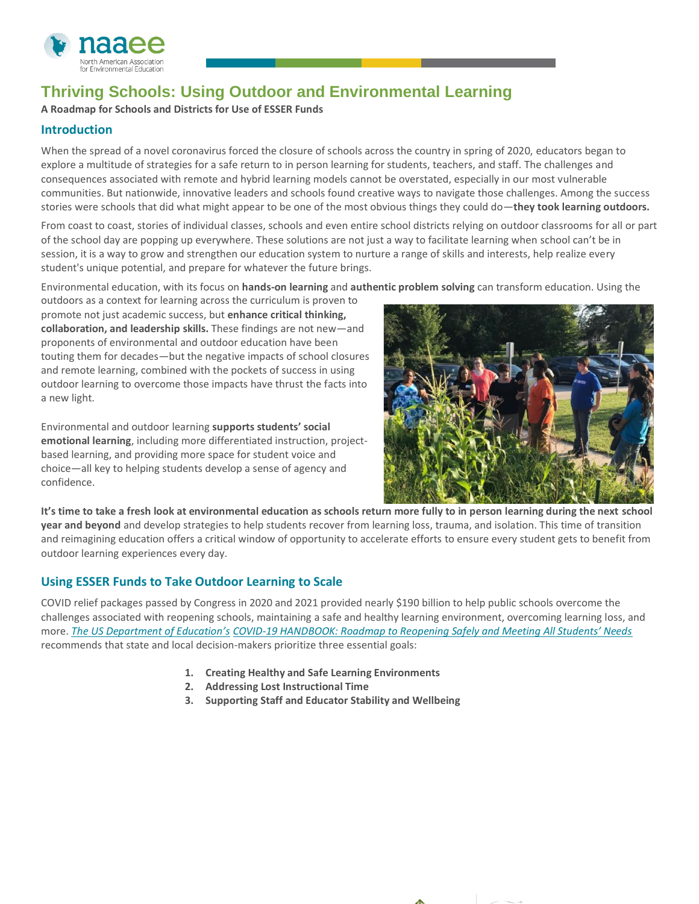

## **Thriving Schools: Using Outdoor and Environmental Learning**

**A Roadmap for Schools and Districts for Use of ESSER Funds**

## **Introduction**

When the spread of a novel coronavirus forced the closure of schools across the country in spring of 2020, educators began to explore a multitude of strategies for a safe return to in person learning for students, teachers, and staff. The challenges and consequences associated with remote and hybrid learning models cannot be overstated, especially in our most vulnerable communities. But nationwide, innovative leaders and schools found creative ways to navigate those challenges. Among the success stories were schools that did what might appear to be one of the most obvious things they could do—**they took learning outdoors.**

From coast to coast, stories of individual classes, schools and even entire school districts relying on outdoor classrooms for all or part of the school day are popping up everywhere. These solutions are not just a way to facilitate learning when school can't be in session, it is a way to grow and strengthen our education system to nurture a range of skills and interests, help realize every student's unique potential, and prepare for whatever the future brings.

Environmental education, with its focus on **hands-on learning** and **authentic problem solving** can transform education. Using the

outdoors as a context for learning across the curriculum is proven to promote not just academic success, but **enhance critical thinking, collaboration, and leadership skills.** These findings are not new—and proponents of environmental and outdoor education have been touting them for decades—but the negative impacts of school closures and remote learning, combined with the pockets of success in using outdoor learning to overcome those impacts have thrust the facts into a new light.

Environmental and outdoor learning **supports students' social emotional learning**, including more differentiated instruction, projectbased learning, and providing more space for student voice and choice—all key to helping students develop a sense of agency and confidence.



**It's time to take a fresh look at environmental education as schools return more fully to in person learning during the next school year and beyond** and develop strategies to help students recover from learning loss, trauma, and isolation. This time of transition and reimagining education offers a critical window of opportunity to accelerate efforts to ensure every student gets to benefit from outdoor learning experiences every day.

## **Using ESSER Funds to Take Outdoor Learning to Scale**

COVID relief packages passed by Congress in 2020 and 2021 provided nearly \$190 billion to help public schools overcome the challenges associated with reopening schools, maintaining a safe and healthy learning environment, overcoming learning loss, and more. *[The US Department of Education's](https://www2.ed.gov/documents/coronavirus/reopening-2.pdf) COVID-[19 HANDBOOK: Roadmap to Reopening Safely and Meeting All Students' Needs](https://www2.ed.gov/documents/coronavirus/reopening-2.pdf)* recommends that state and local decision-makers prioritize three essential goals:

- **1. Creating Healthy and Safe Learning Environments**
- **2. Addressing Lost Instructional Time**
- **3. Supporting Staff and Educator Stability and Wellbeing**